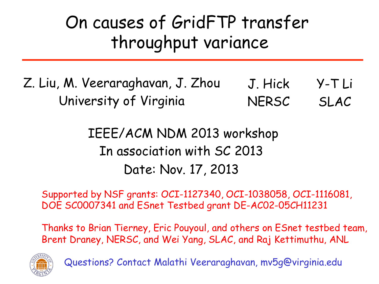#### On causes of GridFTP transfer throughput variance

#### Z. Liu, M. Veeraraghavan, J. Zhou University of Virginia J. Hick **NERSC** Y-T Li SLAC

#### IEEE/ACM NDM 2013 workshop In association with SC 2013 Date: Nov. 17, 2013

Supported by NSF grants: OCI-1127340, OCI-1038058, OCI-1116081, DOE SC0007341 and ESnet Testbed grant DE-AC02-05CH11231

Thanks to Brian Tierney, Eric Pouyoul, and others on ESnet testbed team, Brent Draney, NERSC, and Wei Yang, SLAC, and Raj Kettimuthu, ANL



Questions? Contact Malathi Veeraraghavan, mv5g@virginia.edu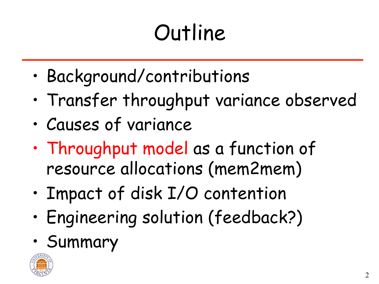# **Outline**

- Background/contributions
- Transfer throughput variance observed
- Causes of variance
- Throughput model as a function of resource allocations (mem2mem)
- Impact of disk I/O contention
- Engineering solution (feedback?)
- Summary

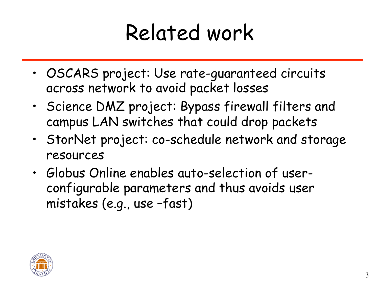### Related work

- OSCARS project: Use rate-guaranteed circuits across network to avoid packet losses
- Science DMZ project: Bypass firewall filters and campus LAN switches that could drop packets
- StorNet project: co-schedule network and storage resources
- Globus Online enables auto-selection of userconfigurable parameters and thus avoids user mistakes (e.g., use –fast)

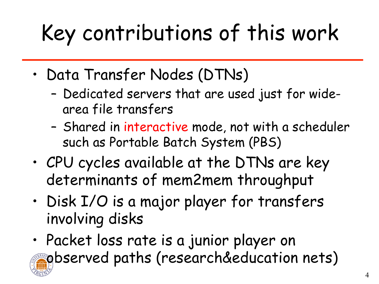# Key contributions of this work

- Data Transfer Nodes (DTNs)
	- Dedicated servers that are used just for widearea file transfers
	- Shared in interactive mode, not with a scheduler such as Portable Batch System (PBS)
- CPU cycles available at the DTNs are key determinants of mem2mem throughput
- Disk I/O is a major player for transfers involving disks
- Packet loss rate is a junior player on observed paths (research&education nets)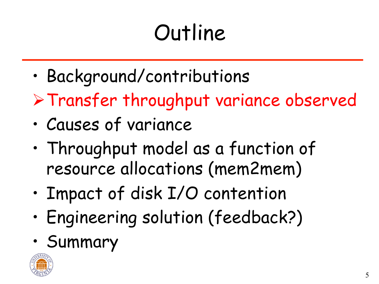# **Outline**

- Background/contributions
- ØTransfer throughput variance observed
- Causes of variance
- Throughput model as a function of resource allocations (mem2mem)
- Impact of disk I/O contention
- Engineering solution (feedback?)
- Summary

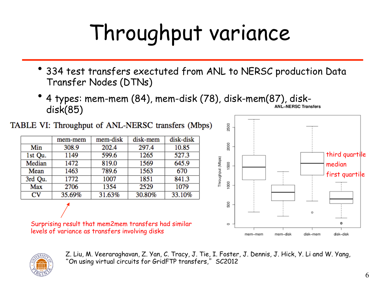# Throughput variance

- 334 test transfers exectuted from ANL to NERSC production Data Transfer Nodes (DTNs)
- 4 types: mem-mem (84), mem-disk (78), disk-mem(87), diskdisk(85)

TABLE VI: Throughput of ANL-NERSC transfers (Mbps)

|                        | mem-mem | mem-disk | disk-mem | disk-disk |
|------------------------|---------|----------|----------|-----------|
| Min                    | 308.9   | 202.4    | 297.4    | 10.85     |
| 1st Qu.                | 1149    | 599.6    | 1265     | 527.3     |
| Median                 | 1472    | 819.0    | 1569     | 645.9     |
| Mean                   | 1463    | 789.6    | 1563     | 670       |
| 3rd Qu.                | 1772    | 1007     | 1851     | 841.3     |
| Max                    | 2706    | 1354     | 2529     | 1079      |
| $\mathbf{C}\mathbf{V}$ | 35.69%  | 31.63%   | 30.80%   | 33.10%    |
|                        |         |          |          |           |

Surprising result that mem2mem transfers had similar levels of variance as transfers involving disks





Z. Liu, M. Veeraraghavan, Z. Yan, C. Tracy, J. Tie, I. Foster, J. Dennis, J. Hick, Y. Li and W. Yang, "On using virtual circuits for GridFTP transfers," SC2012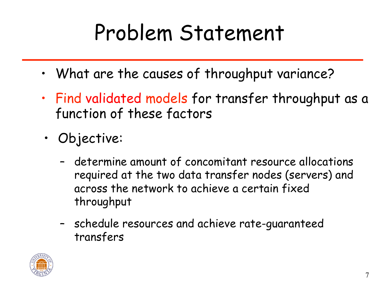### Problem Statement

- What are the causes of throughput variance?
- Find validated models for transfer throughput as a function of these factors
- Objective:
	- determine amount of concomitant resource allocations required at the two data transfer nodes (servers) and across the network to achieve a certain fixed throughput
	- schedule resources and achieve rate-guaranteed transfers

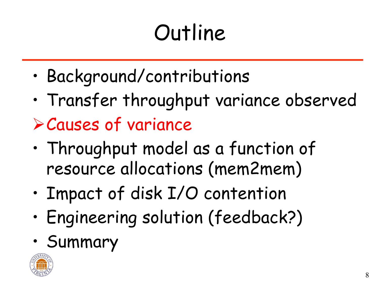# **Outline**

- Background/contributions
- Transfer throughput variance observed ØCauses of variance
- Throughput model as a function of resource allocations (mem2mem)
- Impact of disk I/O contention
- Engineering solution (feedback?)
- Summary

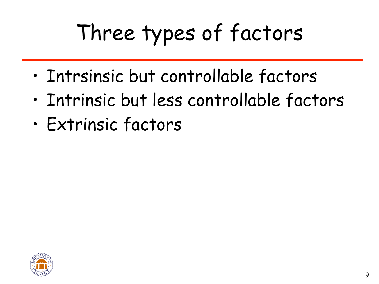# Three types of factors

- Intrsinsic but controllable factors
- Intrinsic but less controllable factors
- Extrinsic factors

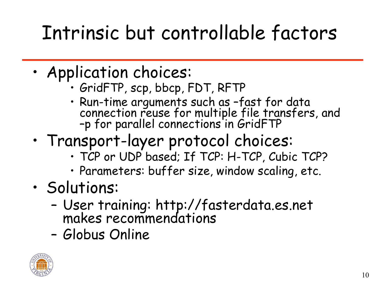#### Intrinsic but controllable factors

- Application choices: GridFTP, scp, bbcp, FDT, RFTP
	-
	- Run-time arguments such as –fast for data connection reuse for multiple file transfers, and –p for parallel connections in GridFTP
- Transport-layer protocol choices: TCP or UDP based; If TCP: H-TCP, Cubic TCP?
	-
	- Parameters: buffer size, window scaling, etc.
- Solutions:
	- User training: http://fasterdata.es.net makes recommendations
	- Globus Online

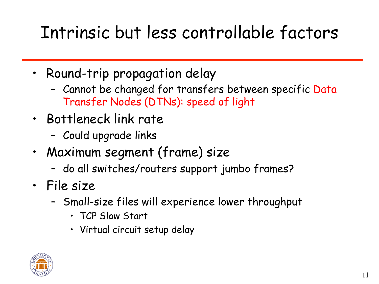#### Intrinsic but less controllable factors

- Round-trip propagation delay
	- Cannot be changed for transfers between specific Data Transfer Nodes (DTNs): speed of light
- Bottleneck link rate
	- Could upgrade links
- Maximum segment (frame) size
	- do all switches/routers support jumbo frames?
- File size
	- Small-size files will experience lower throughput
		- TCP Slow Start
		- Virtual circuit setup delay

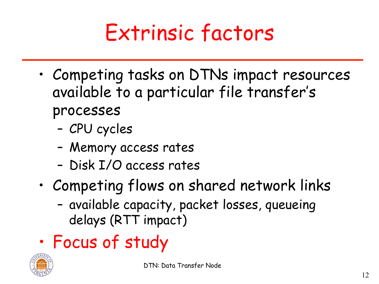#### Extrinsic factors

- Competing tasks on DTNs impact resources available to a particular file transfer's processes
	- CPU cycles
	- Memory access rates
	- Disk I/O access rates
- Competing flows on shared network links
	- available capacity, packet losses, queueing delays (RTT impact)
- Focus of study

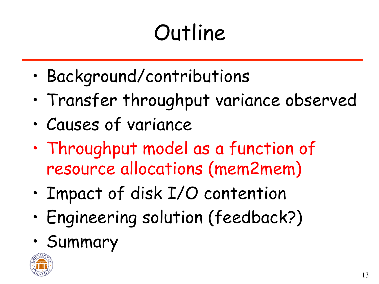# **Outline**

- Background/contributions
- Transfer throughput variance observed
- Causes of variance
- Throughput model as a function of resource allocations (mem2mem)
- Impact of disk I/O contention
- Engineering solution (feedback?)
- Summary

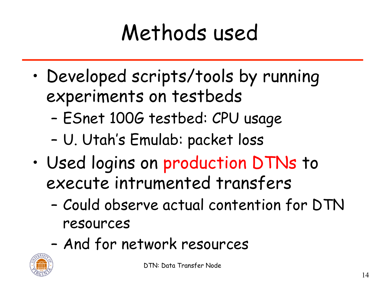## Methods used

- Developed scripts/tools by running experiments on testbeds
	- ESnet 100G testbed: CPU usage
	- U. Utah's Emulab: packet loss
- Used logins on production DTNs to execute intrumented transfers
	- Could observe actual contention for DTN resources
	- And for network resources

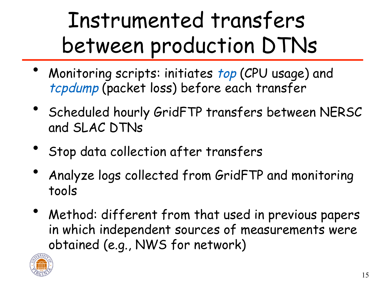#### Instrumented transfers between production DTNs

- Monitoring scripts: initiates top (CPU usage) and tcpdump (packet loss) before each transfer
- Scheduled hourly GridFTP transfers between NERSC and SLAC DTNs
- Stop data collection after transfers
- Analyze logs collected from GridFTP and monitoring tools
- Method: different from that used in previous papers in which independent sources of measurements were obtained (e.g., NWS for network)

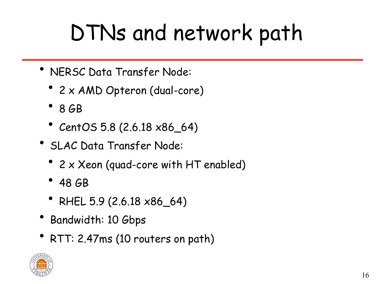### DTNs and network path

- NERSC Data Transfer Node:
	- 2 x AMD Opteron (dual-core)
	- 8 GB
	- CentOS 5.8 (2.6.18 x86\_64)
- SLAC Data Transfer Node:
	- 2 x Xeon (quad-core with HT enabled)
	- 48 GB
	- RHEL 5.9 (2.6.18 x86\_64)
- Bandwidth: 10 Gbps
- RTT: 2.47ms (10 routers on path)

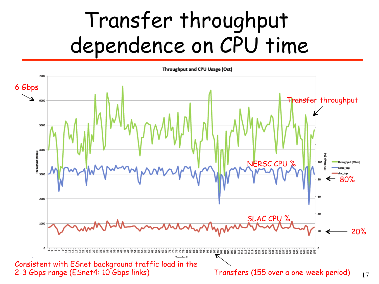#### Transfer throughput dependence on CPU time

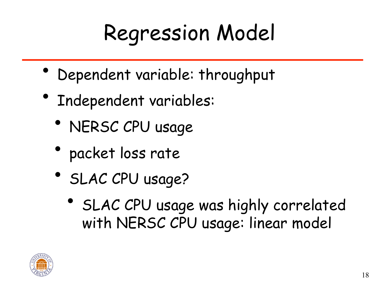## Regression Model

- Dependent variable: throughput
- Independent variables:
	- NERSC CPU usage
	- packet loss rate
	- SLAC CPU usage?
		- SLAC CPU usage was highly correlated with NERSC CPU usage: linear model

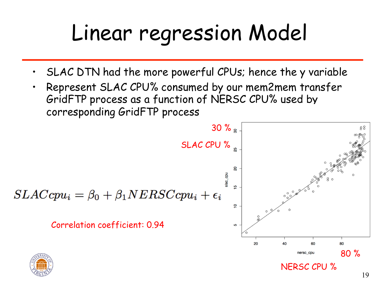### Linear regression Model

- SLAC DTN had the more powerful CPUs; hence the y variable
- Represent SLAC CPU% consumed by our mem2mem transfer GridFTP process as a function of NERSC CPU% used by corresponding GridFTP process

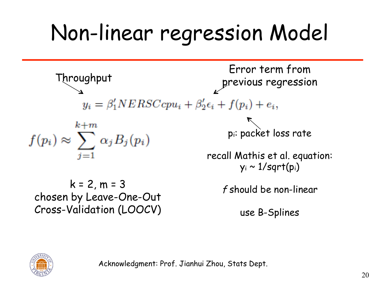# Non-linear regression Model





Acknowledgment: Prof. Jianhui Zhou, Stats Dept.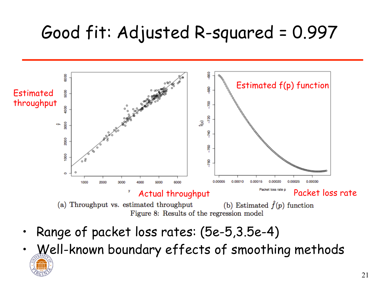#### Good fit: Adjusted R-squared = 0.997



- Range of packet loss rates: (5e-5,3.5e-4)
- Well-known boundary effects of smoothing methods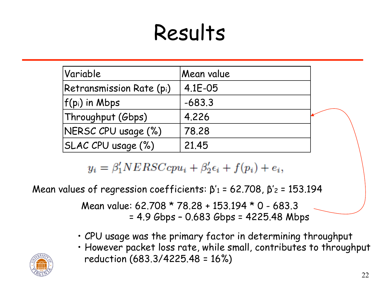#### Results

| Variable                        | Mean value |  |
|---------------------------------|------------|--|
| <b>Retransmission Rate (pi)</b> | 4.1E-05    |  |
| $ f(p_i)$ in Mbps               | $-683.3$   |  |
| Throughput (Gbps)               | 4.226      |  |
| NERSC CPU usage (%)             | 78.28      |  |
| SLAC CPU usage (%)              | 21.45      |  |

 $y_i = \beta'_1 NERSCcpu_i + \beta'_2 \epsilon_i + f(p_i) + e_i,$ 

Mean values of regression coefficients:  $\beta'$ <sub>1</sub> = 62.708,  $\beta'$ <sub>2</sub> = 153.194

Mean value: 62.708 \* 78.28 + 153.194 \* 0 - 683.3 = 4.9 Gbps – 0.683 Gbps = 4225.48 Mbps

- CPU usage was the primary factor in determining throughput
- However packet loss rate, while small, contributes to throughput reduction (683.3/4225.48 = 16%)

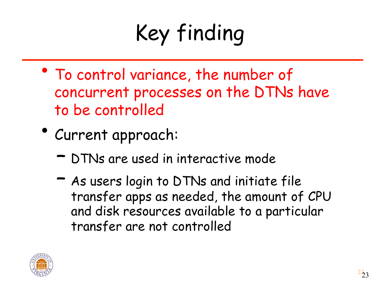# Key finding

- To control variance, the number of concurrent processes on the DTNs have to be controlled
- Current approach:
	- DTNs are used in interactive mode
	- As users login to DTNs and initiate file transfer apps as needed, the amount of CPU and disk resources available to a particular transfer are not controlled

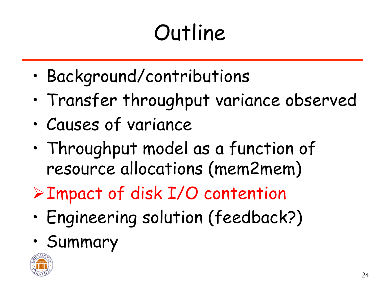# **Outline**

- Background/contributions
- Transfer throughput variance observed
- Causes of variance
- Throughput model as a function of resource allocations (mem2mem)
- ØImpact of disk I/O contention
- Engineering solution (feedback?)
- Summary

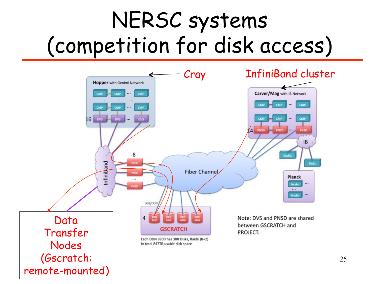#### NERSC systems (competition for disk access)

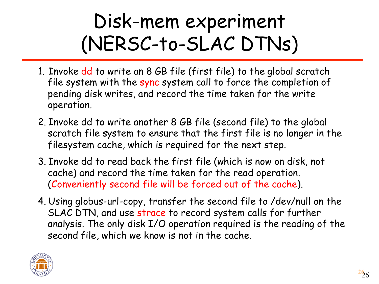#### Disk-mem experiment (NERSC-to-SLAC DTNs)

- 1. Invoke dd to write an 8 GB file (first file) to the global scratch file system with the sync system call to force the completion of pending disk writes, and record the time taken for the write operation.
- 2. Invoke dd to write another 8 GB file (second file) to the global scratch file system to ensure that the first file is no longer in the filesystem cache, which is required for the next step.
- 3. Invoke dd to read back the first file (which is now on disk, not cache) and record the time taken for the read operation. (Conveniently second file will be forced out of the cache).
- 4. Using globus-url-copy, transfer the second file to /dev/null on the SLAC DTN, and use strace to record system calls for further analysis. The only disk I/O operation required is the reading of the second file, which we know is not in the cache.

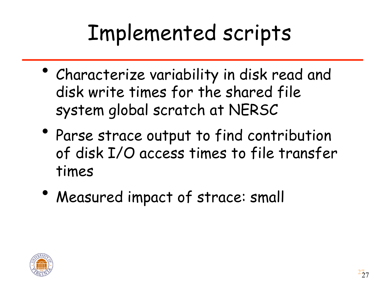### Implemented scripts

- Characterize variability in disk read and disk write times for the shared file system global scratch at NERSC
- Parse strace output to find contribution of disk I/O access times to file transfer times
- Measured impact of strace: small

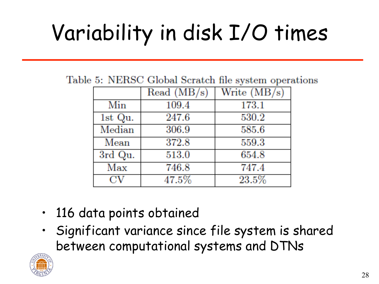# Variability in disk I/O times

Table 5: NERSC Global Scratch file system operations

|             | Read (MB/s) | Write $(MB/s)$ |
|-------------|-------------|----------------|
| Min         | 109.4       | 173.1          |
| 1st Qu.     | 247.6       | 530.2          |
| Median      | 306.9       | 585.6          |
| Mean        | 372.8       | 559.3          |
| 3rd Qu.     | 513.0       | 654.8          |
| Max         | 746.8       | 747.4          |
| $_{\rm CV}$ | 47.5%       | 23.5%          |

- 116 data points obtained
- Significant variance since file system is shared between computational systems and DTNs

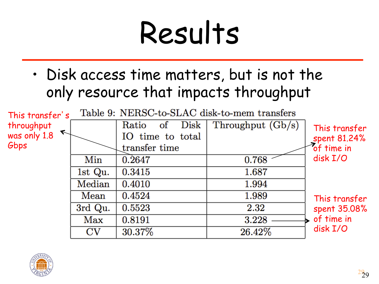# Results

• Disk access time matters, but is not the only resource that impacts throughput



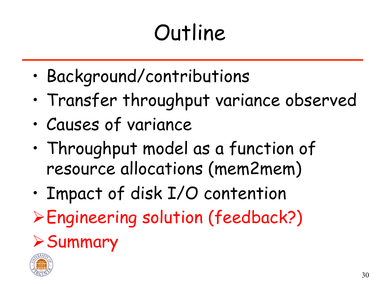# **Outline**

- Background/contributions
- Transfer throughput variance observed
- Causes of variance
- Throughput model as a function of resource allocations (mem2mem)
- Impact of disk I/O contention
- ØEngineering solution (feedback?)

#### $\triangleright$  Summary

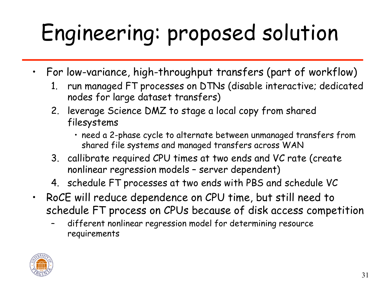# Engineering: proposed solution

- For low-variance, high-throughput transfers (part of workflow)
	- 1. run managed FT processes on DTNs (disable interactive; dedicated nodes for large dataset transfers)
	- 2. leverage Science DMZ to stage a local copy from shared filesystems
		- need a 2-phase cycle to alternate between unmanaged transfers from shared file systems and managed transfers across WAN
	- 3. callibrate required CPU times at two ends and VC rate (create nonlinear regression models – server dependent)
	- 4. schedule FT processes at two ends with PBS and schedule VC
- RoCE will reduce dependence on CPU time, but still need to schedule FT process on CPUs because of disk access competition
	- different nonlinear regression model for determining resource requirements

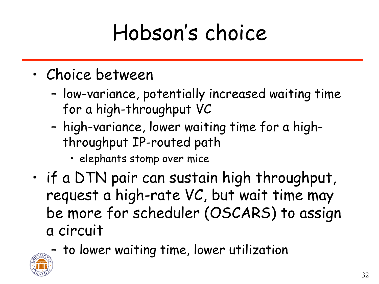### Hobson's choice

- Choice between
	- low-variance, potentially increased waiting time for a high-throughput VC
	- high-variance, lower waiting time for a highthroughput IP-routed path
		- elephants stomp over mice
- if a DTN pair can sustain high throughput, request a high-rate VC, but wait time may be more for scheduler (OSCARS) to assign a circuit
	- to lower waiting time, lower utilization